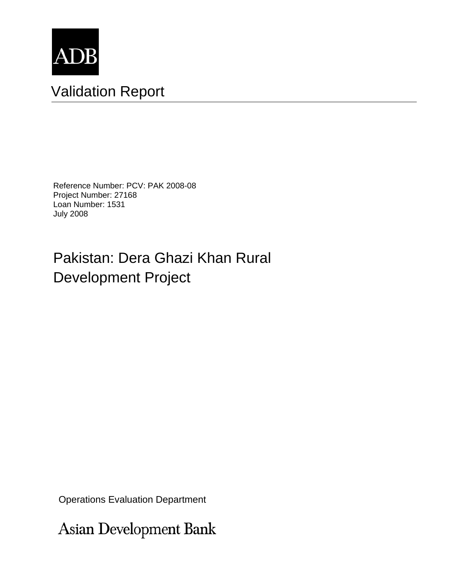

# Validation Report

Reference Number: PCV: PAK 2008-08 Project Number: 27168 Loan Number: 1531 July 2008

# Pakistan: Dera Ghazi Khan Rural Development Project

Operations Evaluation Department

Asian Development Bank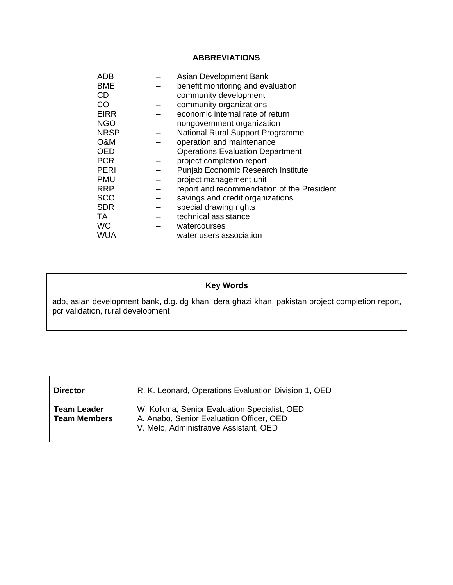## **ABBREVIATIONS**

| ADB         | Asian Development Bank                     |  |
|-------------|--------------------------------------------|--|
| BME         | benefit monitoring and evaluation          |  |
| <b>CD</b>   | community development                      |  |
| CO          | community organizations                    |  |
| <b>EIRR</b> | economic internal rate of return           |  |
| <b>NGO</b>  | nongovernment organization                 |  |
| NRSP        | <b>National Rural Support Programme</b>    |  |
| O&M         | operation and maintenance                  |  |
| OED         | <b>Operations Evaluation Department</b>    |  |
| <b>PCR</b>  | project completion report                  |  |
| PERI        | <b>Punjab Economic Research Institute</b>  |  |
| <b>PMU</b>  | project management unit                    |  |
| <b>RRP</b>  | report and recommendation of the President |  |
| <b>SCO</b>  | savings and credit organizations           |  |
| <b>SDR</b>  | special drawing rights                     |  |
| TA          | technical assistance                       |  |
| <b>WC</b>   | watercourses                               |  |
| WUA         | water users association                    |  |

# **Key Words**

adb, asian development bank, d.g. dg khan, dera ghazi khan, pakistan project completion report, pcr validation, rural development

**Director R. K. Leonard, Operations Evaluation Division 1, OED** 

**Team Leader Team Members**  W. Kolkma, Senior Evaluation Specialist, OED A. Anabo, Senior Evaluation Officer, OED V. Melo, Administrative Assistant, OED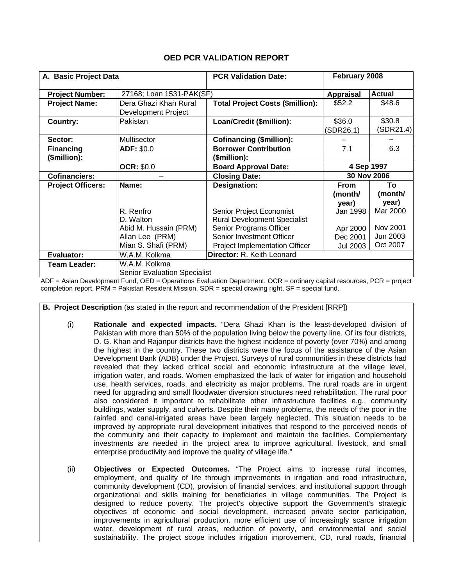| A. Basic Project Data    |                                              | <b>PCR Validation Date:</b>             | February 2008       |                     |
|--------------------------|----------------------------------------------|-----------------------------------------|---------------------|---------------------|
| <b>Project Number:</b>   | 27168; Loan 1531-PAK(SF)                     |                                         | <b>Appraisal</b>    | <b>Actual</b>       |
| <b>Project Name:</b>     | Dera Ghazi Khan Rural<br>Development Project | <b>Total Project Costs (\$million):</b> | \$52.2              | \$48.6              |
| Country:                 | Pakistan                                     | Loan/Credit (\$million):                | \$36.0<br>(SDR26.1) | \$30.8<br>(SDR21.4) |
| Sector:                  | Multisector                                  | <b>Cofinancing (\$million):</b>         |                     |                     |
| <b>Financing</b>         | ADF: \$0.0                                   | <b>Borrower Contribution</b>            | 7.1                 | 6.3                 |
| (\$million):             |                                              | (\$million):                            |                     |                     |
|                          | <b>OCR: \$0.0</b>                            | <b>Board Approval Date:</b>             | 4 Sep 1997          |                     |
| <b>Cofinanciers:</b>     |                                              | <b>Closing Date:</b>                    | 30 Nov 2006         |                     |
| <b>Project Officers:</b> | Name:                                        | <b>Designation:</b>                     | <b>From</b>         | To                  |
|                          |                                              |                                         | (month/             | (month/             |
|                          |                                              |                                         | year)               | year)               |
|                          | R. Renfro                                    | Senior Project Economist                | Jan 1998            | Mar 2000            |
|                          | D. Walton                                    | <b>Rural Development Specialist</b>     |                     |                     |
|                          | Abid M. Hussain (PRM)                        | Senior Programs Officer                 | Apr 2000            | Nov 2001            |
|                          | Allan Lee (PRM)                              | Senior Investment Officer               | Dec 2001            | Jun 2003            |
|                          | Mian S. Shafi (PRM)                          | Project Implementation Officer          | <b>Jul 2003</b>     | Oct 2007            |
| Evaluator:               | W.A.M. Kolkma                                | Director: R. Keith Leonard              |                     |                     |
| <b>Team Leader:</b>      | W.A.M. Kolkma                                |                                         |                     |                     |
|                          | <b>Senior Evaluation Specialist</b>          |                                         |                     |                     |

ADF = Asian Development Fund, OED = Operations Evaluation Department, OCR = ordinary capital resources, PCR = project completion report, PRM = Pakistan Resident Mission, SDR = special drawing right, SF = special fund.

**B. Project Description** (as stated in the report and recommendation of the President [RRP])

- (i) **Rationale and expected impacts.** "Dera Ghazi Khan is the least-developed division of Pakistan with more than 50% of the population living below the poverty line. Of its four districts, D. G. Khan and Rajanpur districts have the highest incidence of poverty (over 70%) and among the highest in the country. These two districts were the focus of the assistance of the Asian Development Bank (ADB) under the Project. Surveys of rural communities in these districts had revealed that they lacked critical social and economic infrastructure at the village level, irrigation water, and roads. Women emphasized the lack of water for irrigation and household use, health services, roads, and electricity as major problems. The rural roads are in urgent need for upgrading and small floodwater diversion structures need rehabilitation. The rural poor also considered it important to rehabilitate other infrastructure facilities e.g., community buildings, water supply, and culverts. Despite their many problems, the needs of the poor in the rainfed and canal-irrigated areas have been largely neglected. This situation needs to be improved by appropriate rural development initiatives that respond to the perceived needs of the community and their capacity to implement and maintain the facilities. Complementary investments are needed in the project area to improve agricultural, livestock, and small enterprise productivity and improve the quality of village life."
- (ii) **Objectives or Expected Outcomes.** "The Project aims to increase rural incomes, employment, and quality of life through improvements in irrigation and road infrastructure, community development (CD), provision of financial services, and institutional support through organizational and skills training for beneficiaries in village communities. The Project is designed to reduce poverty. The project's objective support the Government's strategic objectives of economic and social development, increased private sector participation, improvements in agricultural production, more efficient use of increasingly scarce irrigation water, development of rural areas, reduction of poverty, and environmental and social sustainability. The project scope includes irrigation improvement, CD, rural roads, financial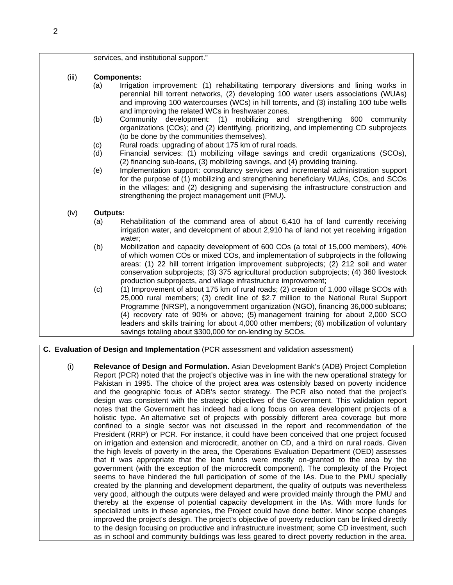| services, and institutional support." |  |  |  |
|---------------------------------------|--|--|--|
|---------------------------------------|--|--|--|

- (iii) **Components:**
	- (a) Irrigation improvement: (1) rehabilitating temporary diversions and lining works in perennial hill torrent networks, (2) developing 100 water users associations (WUAs) and improving 100 watercourses (WCs) in hill torrents, and (3) installing 100 tube wells and improving the related WCs in freshwater zones.
	- (b) Community development: (1) mobilizing and strengthening 600 community organizations (COs); and (2) identifying, prioritizing, and implementing CD subprojects (to be done by the communities themselves).
	- (c) Rural roads: upgrading of about 175 km of rural roads.
	- (d) Financial services: (1) mobilizing village savings and credit organizations (SCOs), (2) financing sub-loans, (3) mobilizing savings, and (4) providing training.
	- (e) Implementation support: consultancy services and incremental administration support for the purpose of (1) mobilizing and strengthening beneficiary WUAs, COs, and SCOs in the villages; and (2) designing and supervising the infrastructure construction and strengthening the project management unit (PMU)*.*

### (iv) **Outputs:**

- (a) Rehabilitation of the command area of about 6,410 ha of land currently receiving irrigation water, and development of about 2,910 ha of land not yet receiving irrigation water;
- (b) Mobilization and capacity development of 600 COs (a total of 15,000 members), 40% of which women COs or mixed COs, and implementation of subprojects in the following areas: (1) 22 hill torrent irrigation improvement subprojects; (2) 212 soil and water conservation subprojects; (3) 375 agricultural production subprojects; (4) 360 livestock production subprojects, and village infrastructure improvement;
- (c) (1) Improvement of about 175 km of rural roads; (2) creation of 1,000 village SCOs with 25,000 rural members; (3) credit line of \$2.7 million to the National Rural Support Programme (NRSP), a nongovernment organization (NGO), financing 36,000 subloans; (4) recovery rate of 90% or above; (5) management training for about 2,000 SCO leaders and skills training for about 4,000 other members; (6) mobilization of voluntary savings totaling about \$300,000 for on-lending by SCOs.

 **C. Evaluation of Design and Implementation** (PCR assessment and validation assessment)

(i) **Relevance of Design and Formulation.** Asian Development Bank's (ADB) [Project Completion](http://adb.org/Documents/PCRs/PAK/27168-PAK-PCR.pdf)  [Report](http://adb.org/Documents/PCRs/PAK/27168-PAK-PCR.pdf) (PCR) noted that the project's objective was in line with the new operational strategy for Pakistan in 1995. The choice of the project area was ostensibly based on poverty incidence and the geographic focus of ADB's sector strategy. The PCR also noted that the project's design was consistent with the strategic objectives of the Government. This validation report notes that the Government has indeed had a long focus on area development projects of a holistic type. An alternative set of projects with possibly different area coverage but more confined to a single sector was not discussed in the report and recommendation of the President (RRP) or PCR. For instance, it could have been conceived that one project focused on irrigation and extension and microcredit, another on CD, and a third on rural roads. Given the high levels of poverty in the area, the Operations Evaluation Department (OED) assesses that it was appropriate that the loan funds were mostly on-granted to the area by the government (with the exception of the microcredit component). The complexity of the Project seems to have hindered the full participation of some of the IAs. Due to the PMU specially created by the planning and development department, the quality of outputs was nevertheless very good, although the outputs were delayed and were provided mainly through the PMU and thereby at the expense of potential capacity development in the IAs. With more funds for specialized units in these agencies, the Project could have done better. Minor scope changes improved the project's design. The project's objective of poverty reduction can be linked directly to the design focusing on productive and infrastructure investment; some CD investment, such as in school and community buildings was less geared to direct poverty reduction in the area.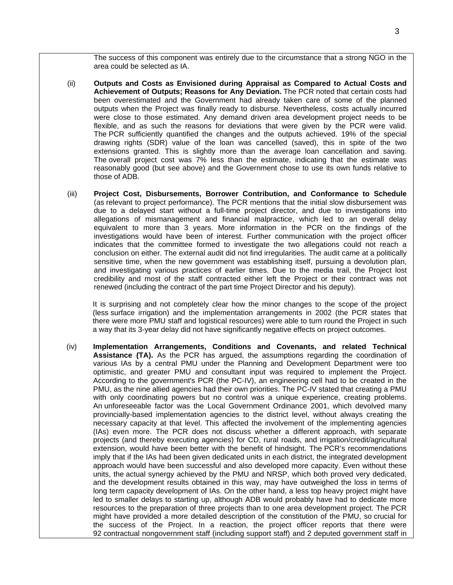The success of this component was entirely due to the circumstance that a strong NGO in the area could be selected as IA.

- (ii) **Outputs and Costs as Envisioned during Appraisal as Compared to Actual Costs and Achievement of Outputs; Reasons for Any Deviation.** The PCR noted that certain costs had been overestimated and the Government had already taken care of some of the planned outputs when the Project was finally ready to disburse. Nevertheless, costs actually incurred were close to those estimated. Any demand driven area development project needs to be flexible, and as such the reasons for deviations that were given by the PCR were valid. The PCR sufficiently quantified the changes and the outputs achieved. 19% of the special drawing rights (SDR) value of the loan was cancelled (saved), this in spite of the two extensions granted. This is slightly more than the average loan cancellation and saving. The overall project cost was 7% less than the estimate, indicating that the estimate was reasonably good (but see above) and the Government chose to use its own funds relative to those of ADB.
- (iii) **Project Cost, Disbursements, Borrower Contribution, and Conformance to Schedule**  (as relevant to project performance). The PCR mentions that the initial slow disbursement was due to a delayed start without a full-time project director, and due to investigations into allegations of mismanagement and financial malpractice, which led to an overall delay equivalent to more than 3 years. More information in the PCR on the findings of the investigations would have been of interest. Further communication with the project officer indicates that the committee formed to investigate the two allegations could not reach a conclusion on either. The external audit did not find irregularities. The audit came at a politically sensitive time, when the new government was establishing itself, pursuing a devolution plan, and investigating various practices of earlier times. Due to the media trail, the Project lost credibility and most of the staff contracted either left the Project or their contract was not renewed (including the contract of the part time Project Director and his deputy).

It is surprising and not completely clear how the minor changes to the scope of the project (less surface irrigation) and the implementation arrangements in 2002 (the PCR states that there were more PMU staff and logistical resources) were able to turn round the Project in such a way that its 3-year delay did not have significantly negative effects on project outcomes.

(iv) **Implementation Arrangements, Conditions and Covenants, and related Technical Assistance (TA).** As the PCR has argued, the assumptions regarding the coordination of various IAs by a central PMU under the Planning and Development Department were too optimistic, and greater PMU and consultant input was required to implement the Project. According to the government's PCR (the PC-IV), an engineering cell had to be created in the PMU, as the nine allied agencies had their own priorities. The PC-IV stated that creating a PMU with only coordinating powers but no control was a unique experience, creating problems. An unforeseeable factor was the Local Government Ordinance 2001, which devolved many provincially-based implementation agencies to the district level, without always creating the necessary capacity at that level. This affected the involvement of the implementing agencies (IAs) even more. The PCR does not discuss whether a different approach, with separate projects (and thereby executing agencies) for CD, rural roads, and irrigation/credit/agricultural extension, would have been better with the benefit of hindsight. The PCR's recommendations imply that if the IAs had been given dedicated units in each district, the integrated development approach would have been successful and also developed more capacity. Even without these units, the actual synergy achieved by the PMU and NRSP, which both proved very dedicated, and the development results obtained in this way, may have outweighed the loss in terms of long term capacity development of IAs. On the other hand, a less top heavy project might have led to smaller delays to starting up, although ADB would probably have had to dedicate more resources to the preparation of three projects than to one area development project. The PCR might have provided a more detailed description of the constitution of the PMU, so crucial for the success of the Project. In a reaction, the project officer reports that there were 92 contractual nongovernment staff (including support staff) and 2 deputed government staff in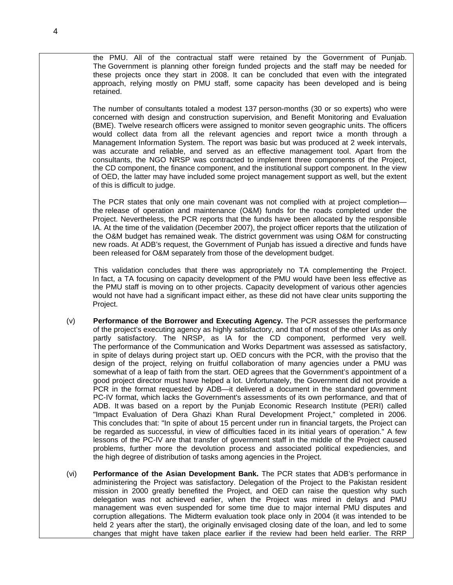the PMU. All of the contractual staff were retained by the Government of Punjab. The Government is planning other foreign funded projects and the staff may be needed for these projects once they start in 2008. It can be concluded that even with the integrated approach, relying mostly on PMU staff, some capacity has been developed and is being retained.

 The number of consultants totaled a modest 137 person-months (30 or so experts) who were concerned with design and construction supervision, and Benefit Monitoring and Evaluation (BME). Twelve research officers were assigned to monitor seven geographic units. The officers would collect data from all the relevant agencies and report twice a month through a Management Information System. The report was basic but was produced at 2 week intervals, was accurate and reliable, and served as an effective management tool. Apart from the consultants, the NGO NRSP was contracted to implement three components of the Project, the CD component, the finance component, and the institutional support component. In the view of OED, the latter may have included some project management support as well, but the extent of this is difficult to judge.

 The PCR states that only one main covenant was not complied with at project completion the release of operation and maintenance (O&M) funds for the roads completed under the Project. Nevertheless, the PCR reports that the funds have been allocated by the responsible IA. At the time of the validation (December 2007), the project officer reports that the utilization of the O&M budget has remained weak. The district government was using O&M for constructing new roads. At ADB's request, the Government of Punjab has issued a directive and funds have been released for O&M separately from those of the development budget.

 This validation concludes that there was appropriately no TA complementing the Project. In fact, a TA focusing on capacity development of the PMU would have been less effective as the PMU staff is moving on to other projects. Capacity development of various other agencies would not have had a significant impact either, as these did not have clear units supporting the Project.

- (v) **Performance of the Borrower and Executing Agency.** The PCR assesses the performance of the project's executing agency as highly satisfactory, and that of most of the other IAs as only partly satisfactory. The NRSP, as IA for the CD component, performed very well. The performance of the Communication and Works Department was assessed as satisfactory, in spite of delays during project start up. OED concurs with the PCR, with the proviso that the design of the project, relying on fruitful collaboration of many agencies under a PMU was somewhat of a leap of faith from the start. OED agrees that the Government's appointment of a good project director must have helped a lot. Unfortunately, the Government did not provide a PCR in the format requested by ADB—it delivered a document in the standard government PC-IV format, which lacks the Government's assessments of its own performance, and that of ADB. It was based on a report by the Punjab Economic Research Institute (PERI) called "Impact Evaluation of Dera Ghazi Khan Rural Development Project," completed in 2006. This concludes that: "In spite of about 15 percent under run in financial targets, the Project can be regarded as successful, in view of difficulties faced in its initial years of operation." A few lessons of the PC-IV are that transfer of government staff in the middle of the Project caused problems, further more the devolution process and associated political expediencies, and the high degree of distribution of tasks among agencies in the Project.
- (vi) **Performance of the Asian Development Bank.** The PCR states that ADB's performance in administering the Project was satisfactory. Delegation of the Project to the Pakistan resident mission in 2000 greatly benefited the Project, and OED can raise the question why such delegation was not achieved earlier, when the Project was mired in delays and PMU management was even suspended for some time due to major internal PMU disputes and corruption allegations. The Midterm evaluation took place only in 2004 (it was intended to be held 2 years after the start), the originally envisaged closing date of the loan, and led to some changes that might have taken place earlier if the review had been held earlier. The RRP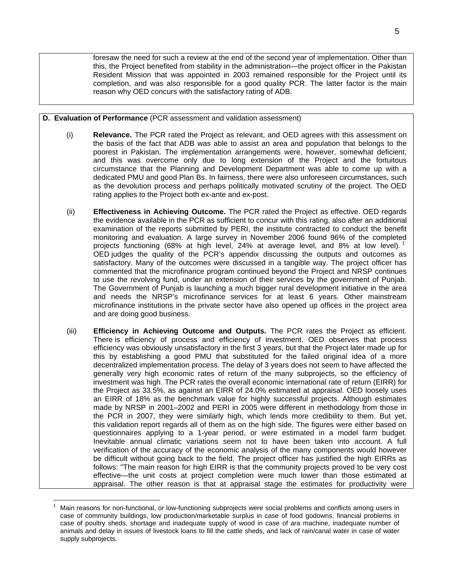foresaw the need for such a review at the end of the second year of implementation. Other than this, the Project benefited from stability in the administration—the project officer in the Pakistan Resident Mission that was appointed in 2003 remained responsible for the Project until its completion, and was also responsible for a good quality PCR. The latter factor is the main reason why OED concurs with the satisfactory rating of ADB.

#### **D. Evaluation of Performance** (PCR assessment and validation assessment)

- (i) **Relevance.** The PCR rated the Project as relevant, and OED agrees with this assessment on the basis of the fact that ADB was able to assist an area and population that belongs to the poorest in Pakistan. The implementation arrangements were, however, somewhat deficient, and this was overcome only due to long extension of the Project and the fortuitous circumstance that the Planning and Development Department was able to come up with a dedicated PMU and good Plan Bs. In fairness, there were also unforeseen circumstances, such as the devolution process and perhaps politically motivated scrutiny of the project. The OED rating applies to the Project both ex-ante and ex-post.
- (ii) **Effectiveness in Achieving Outcome.** The PCR rated the Project as effective. OED regards the evidence available in the PCR as sufficient to concur with this rating, also after an additional examination of the reports submitted by PERI, the institute contracted to conduct the benefit monitoring and evaluation. A large survey in November 2006 found 96% of the completed projects functioning (68% at high level, 24% at average level, and 8% at low level).<sup>[1](#page-6-0)</sup> OED judges the quality of the PCR's appendix discussing the outputs and outcomes as satisfactory. Many of the outcomes were discussed in a tangible way. The project officer has commented that the microfinance program continued beyond the Project and NRSP continues to use the revolving fund, under an extension of their services by the government of Punjab. The Government of Punjab is launching a much bigger rural development initiative in the area and needs the NRSP's microfinance services for at least 6 years. Other mainstream microfinance institutions in the private sector have also opened up offices in the project area and are doing good business.
- (iii) **Efficiency in Achieving Outcome and Outputs.** The PCR rates the Project as efficient. There is efficiency of process and efficiency of investment. OED observes that process efficiency was obviously unsatisfactory in the first 3 years, but that the Project later made up for this by establishing a good PMU that substituted for the failed original idea of a more decentralized implementation process. The delay of 3 years does not seem to have affected the generally very high economic rates of return of the many subprojects, so the efficiency of investment was high. The PCR rates the overall economic international rate of return (EIRR) for the Project as 33.5%, as against an EIRR of 24.0% estimated at appraisal. OED loosely uses an EIRR of 18% as the benchmark value for highly successful projects. Although estimates made by NRSP in 2001–2002 and PERI in 2005 were different in methodology from those in the PCR in 2007, they were similarly high, which lends more credibility to them. But yet, this validation report regards all of them as on the high side. The figures were either based on questionnaires applying to a 1-year period, or were estimated in a model farm budget. Inevitable annual climatic variations seem not to have been taken into account. A full verification of the accuracy of the economic analysis of the many components would however be difficult without going back to the field. The project officer has justified the high EIRRs as follows: "The main reason for high EIRR is that the community projects proved to be very cost effective—the unit costs at project completion were much lower than those estimated at appraisal. The other reason is that at appraisal stage the estimates for productivity were

 $\overline{a}$ 

<span id="page-6-0"></span><sup>1</sup> Main reasons for non-functional, or low-functioning subprojects were social problems and conflicts among users in case of community buildings, low production/marketable surplus in case of food godowns, financial problems in case of poultry sheds, shortage and inadequate supply of wood in case of ara machine, inadequate number of animals and delay in issues of livestock loans to fill the cattle sheds, and lack of rain/canal water in case of water supply subprojects.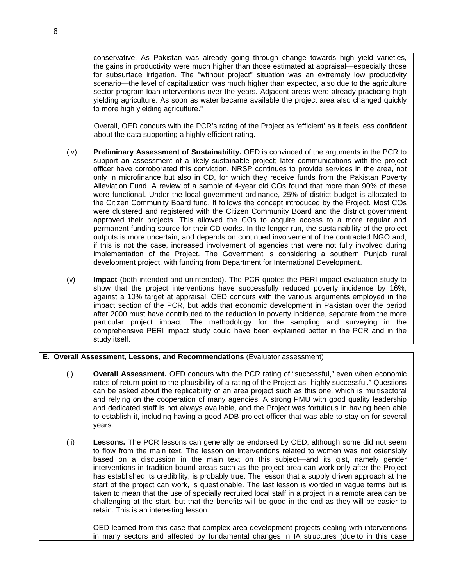Overall, OED concurs with the PCR's rating of the Project as 'efficient' as it feels less confident about the data supporting a highly efficient rating.

- (iv) **Preliminary Assessment of Sustainability.** OED is convinced of the arguments in the PCR to support an assessment of a likely sustainable project; later communications with the project officer have corroborated this conviction. NRSP continues to provide services in the area, not only in microfinance but also in CD, for which they receive funds from the Pakistan Poverty Alleviation Fund. A review of a sample of 4-year old COs found that more than 90% of these were functional. Under the local government ordinance, 25% of district budget is allocated to the Citizen Community Board fund. It follows the concept introduced by the Project. Most COs were clustered and registered with the Citizen Community Board and the district government approved their projects. This allowed the COs to acquire access to a more regular and permanent funding source for their CD works. In the longer run, the sustainability of the project outputs is more uncertain, and depends on continued involvement of the contracted NGO and, if this is not the case, increased involvement of agencies that were not fully involved during implementation of the Project. The Government is considering a southern Punjab rural development project, with funding from Department for International Development.
- (v) **Impact** (both intended and unintended). The PCR quotes the PERI impact evaluation study to show that the project interventions have successfully reduced poverty incidence by 16%, against a 10% target at appraisal. OED concurs with the various arguments employed in the impact section of the PCR, but adds that economic development in Pakistan over the period after 2000 must have contributed to the reduction in poverty incidence, separate from the more particular project impact. The methodology for the sampling and surveying in the comprehensive PERI impact study could have been explained better in the PCR and in the study itself.

#### **E. Overall Assessment, Lessons, and Recommendations** (Evaluator assessment)

- (i) **Overall Assessment.** OED concurs with the PCR rating of "successful," even when economic rates of return point to the plausibility of a rating of the Project as "highly successful." Questions can be asked about the replicability of an area project such as this one, which is multisectoral and relying on the cooperation of many agencies. A strong PMU with good quality leadership and dedicated staff is not always available, and the Project was fortuitous in having been able to establish it, including having a good ADB project officer that was able to stay on for several years.
- (ii) **Lessons.** The PCR lessons can generally be endorsed by OED, although some did not seem to flow from the main text. The lesson on interventions related to women was not ostensibly based on a discussion in the main text on this subject—and its gist, namely gender interventions in tradition-bound areas such as the project area can work only after the Project has established its credibility, is probably true. The lesson that a supply driven approach at the start of the project can work, is questionable. The last lesson is worded in vague terms but is taken to mean that the use of specially recruited local staff in a project in a remote area can be challenging at the start, but that the benefits will be good in the end as they will be easier to retain. This is an interesting lesson.

 OED learned from this case that complex area development projects dealing with interventions in many sectors and affected by fundamental changes in IA structures (due to in this case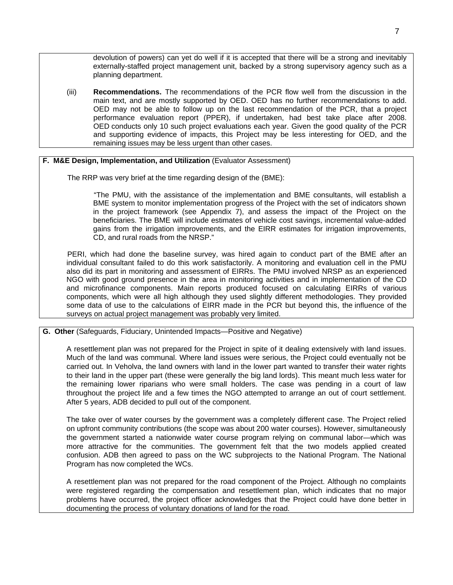devolution of powers) can yet do well if it is accepted that there will be a strong and inevitably externally-staffed project management unit, backed by a strong supervisory agency such as a planning department.

(iii) **Recommendations.** The recommendations of the PCR flow well from the discussion in the main text, and are mostly supported by OED. OED has no further recommendations to add. OED may not be able to follow up on the last recommendation of the PCR, that a project performance evaluation report (PPER), if undertaken, had best take place after 2008. OED conducts only 10 such project evaluations each year. Given the good quality of the PCR and supporting evidence of impacts, this Project may be less interesting for OED, and the remaining issues may be less urgent than other cases.

### **F. M&E Design, Implementation, and Utilization** (Evaluator Assessment)

The RRP was very brief at the time regarding design of the (BME):

 "The PMU, with the assistance of the implementation and BME consultants, will establish a BME system to monitor implementation progress of the Project with the set of indicators shown in the project framework (see Appendix  $\overline{7}$ ), and assess the impact of the Project on the beneficiaries. The BME will include estimates of vehicle cost savings, incremental value-added gains from the irrigation improvements, and the EIRR estimates for irrigation improvements, CD, and rural roads from the NRSP."

 PERI, which had done the baseline survey, was hired again to conduct part of the BME after an individual consultant failed to do this work satisfactorily. A monitoring and evaluation cell in the PMU also did its part in monitoring and assessment of EIRRs. The PMU involved NRSP as an experienced NGO with good ground presence in the area in monitoring activities and in implementation of the CD and microfinance components. Main reports produced focused on calculating EIRRs of various components, which were all high although they used slightly different methodologies. They provided some data of use to the calculations of EIRR made in the PCR but beyond this, the influence of the surveys on actual project management was probably very limited.

#### **G. Other** (Safeguards, Fiduciary, Unintended Impacts—Positive and Negative)

A resettlement plan was not prepared for the Project in spite of it dealing extensively with land issues. Much of the land was communal. Where land issues were serious, the Project could eventually not be carried out. In Veholva, the land owners with land in the lower part wanted to transfer their water rights to their land in the upper part (these were generally the big land lords). This meant much less water for the remaining lower riparians who were small holders. The case was pending in a court of law throughout the project life and a few times the NGO attempted to arrange an out of court settlement. After 5 years, ADB decided to pull out of the component.

The take over of water courses by the government was a completely different case. The Project relied on upfront community contributions (the scope was about 200 water courses). However, simultaneously the government started a nationwide water course program relying on communal labor—which was more attractive for the communities. The government felt that the two models applied created confusion. ADB then agreed to pass on the WC subprojects to the National Program. The National Program has now completed the WCs.

A resettlement plan was not prepared for the road component of the Project. Although no complaints were registered regarding the compensation and resettlement plan, which indicates that no major problems have occurred, the project officer acknowledges that the Project could have done better in documenting the process of voluntary donations of land for the road.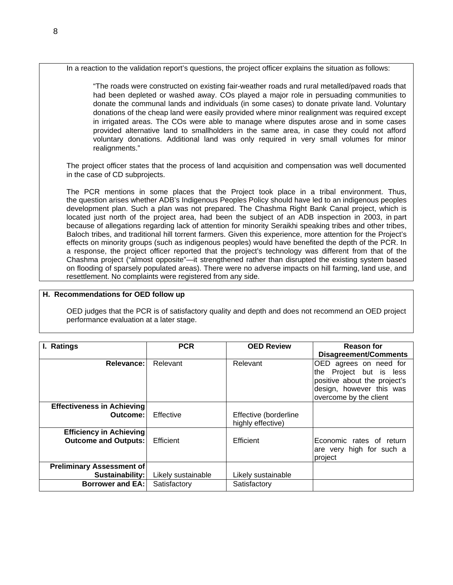In a reaction to the validation report's questions, the project officer explains the situation as follows:

"The roads were constructed on existing fair-weather roads and rural metalled/paved roads that had been depleted or washed away. COs played a major role in persuading communities to donate the communal lands and individuals (in some cases) to donate private land. Voluntary donations of the cheap land were easily provided where minor realignment was required except in irrigated areas. The COs were able to manage where disputes arose and in some cases provided alternative land to smallholders in the same area, in case they could not afford voluntary donations. Additional land was only required in very small volumes for minor realignments."

The project officer states that the process of land acquisition and compensation was well documented in the case of CD subprojects.

The PCR mentions in some places that the Project took place in a tribal environment. Thus, the question arises whether ADB's Indigenous Peoples Policy should have led to an indigenous peoples development plan. Such a plan was not prepared. The Chashma Right Bank Canal project, which is located just north of the project area, had been the subject of an ADB inspection in 2003, in part because of allegations regarding lack of attention for minority Seraikhi speaking tribes and other tribes, Baloch tribes, and traditional hill torrent farmers. Given this experience, more attention for the Project's effects on minority groups (such as indigenous peoples) would have benefited the depth of the PCR. In a response, the project officer reported that the project's technology was different from that of the Chashma project ("almost opposite"—it strengthened rather than disrupted the existing system based on flooding of sparsely populated areas). There were no adverse impacts on hill farming, land use, and resettlement. No complaints were registered from any side.

#### **H. Recommendations for OED follow up**

OED judges that the PCR is of satisfactory quality and depth and does not recommend an OED project performance evaluation at a later stage.

| I. Ratings                        | <b>PCR</b>         | <b>OED Review</b>     | <b>Reason for</b>            |
|-----------------------------------|--------------------|-----------------------|------------------------------|
|                                   |                    |                       | <b>Disagreement/Comments</b> |
| Relevance:                        | Relevant           | Relevant              | OED agrees on need for       |
|                                   |                    |                       |                              |
|                                   |                    |                       | the Project but is less      |
|                                   |                    |                       | positive about the project's |
|                                   |                    |                       | design, however this was     |
|                                   |                    |                       | overcome by the client       |
|                                   |                    |                       |                              |
| <b>Effectiveness in Achieving</b> |                    |                       |                              |
| Outcome:                          | Effective          | Effective (borderline |                              |
|                                   |                    | highly effective)     |                              |
| <b>Efficiency in Achieving</b>    |                    |                       |                              |
| <b>Outcome and Outputs:</b>       | Efficient          | Efficient             | Economic rates of return     |
|                                   |                    |                       | are very high for such a     |
|                                   |                    |                       |                              |
|                                   |                    |                       | project                      |
| <b>Preliminary Assessment of</b>  |                    |                       |                              |
| Sustainability:                   | Likely sustainable | Likely sustainable    |                              |
| <b>Borrower and EA:</b>           | Satisfactory       | Satisfactory          |                              |
|                                   |                    |                       |                              |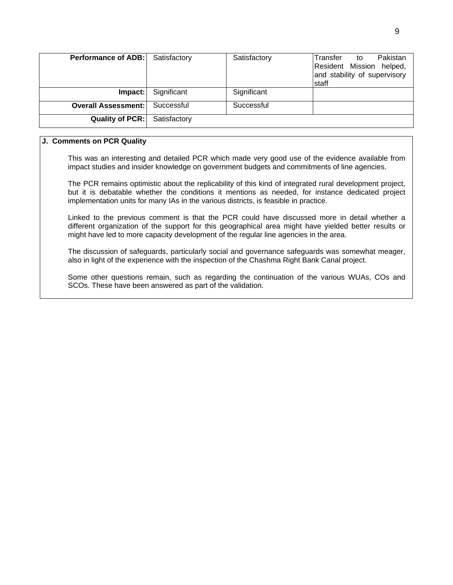| <b>Performance of ADB:</b> Satisfactory |              | Satisfactory | Pakistan<br>Transfer<br>to<br>Resident Mission helped,<br>and stability of supervisory<br>staff |
|-----------------------------------------|--------------|--------------|-------------------------------------------------------------------------------------------------|
| $Im$ pact:                              | Significant  | Significant  |                                                                                                 |
| <b>Overall Assessment:</b>              | Successful   | Successful   |                                                                                                 |
| Quality of PCR:                         | Satisfactory |              |                                                                                                 |

#### **J. Comments on PCR Quality**

This was an interesting and detailed PCR which made very good use of the evidence available from impact studies and insider knowledge on government budgets and commitments of line agencies.

The PCR remains optimistic about the replicability of this kind of integrated rural development project, but it is debatable whether the conditions it mentions as needed, for instance dedicated project implementation units for many IAs in the various districts, is feasible in practice.

Linked to the previous comment is that the PCR could have discussed more in detail whether a different organization of the support for this geographical area might have yielded better results or might have led to more capacity development of the regular line agencies in the area.

The discussion of safeguards, particularly social and governance safeguards was somewhat meager, also in light of the experience with the inspection of the Chashma Right Bank Canal project.

Some other questions remain, such as regarding the continuation of the various WUAs, COs and SCOs. These have been answered as part of the validation.